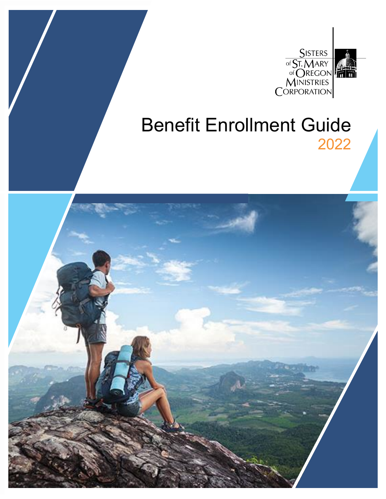

# Benefit Enrollment Guide 2022

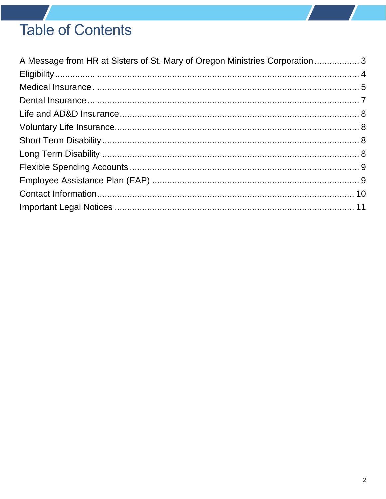# **Table of Contents**

| A Message from HR at Sisters of St. Mary of Oregon Ministries Corporation  3 |  |
|------------------------------------------------------------------------------|--|
|                                                                              |  |
|                                                                              |  |
|                                                                              |  |
|                                                                              |  |
|                                                                              |  |
|                                                                              |  |
|                                                                              |  |
|                                                                              |  |
|                                                                              |  |
|                                                                              |  |
|                                                                              |  |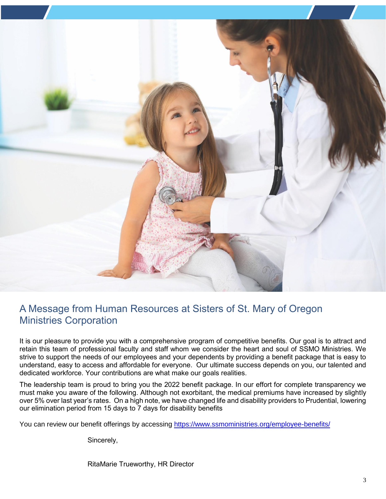

### <span id="page-2-0"></span>A Message from Human Resources at Sisters of St. Mary of Oregon Ministries Corporation

It is our pleasure to provide you with a comprehensive program of competitive benefits. Our goal is to attract and retain this team of professional faculty and staff whom we consider the heart and soul of SSMO Ministries. We strive to support the needs of our employees and your dependents by providing a benefit package that is easy to understand, easy to access and affordable for everyone. Our ultimate success depends on you, our talented and dedicated workforce. Your contributions are what make our goals realities.

The leadership team is proud to bring you the 2022 benefit package. In our effort for complete transparency we must make you aware of the following. Although not exorbitant, the medical premiums have increased by slightly over 5% over last year's rates. On a high note, we have changed life and disability providers to Prudential, lowering our elimination period from 15 days to 7 days for disability benefits

You can review our benefit offerings by accessing<https://www.ssmoministries.org/employee-benefits/>

Sincerely,

RitaMarie Trueworthy, HR Director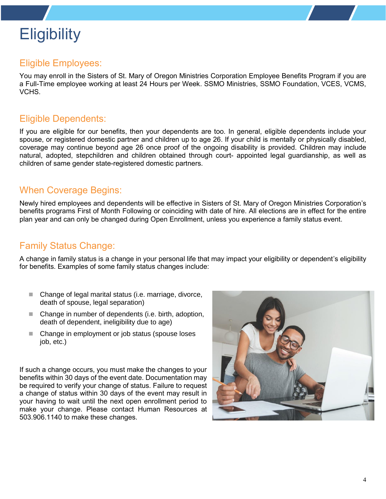# <span id="page-3-0"></span>**Eligibility**

#### Eligible Employees:

You may enroll in the Sisters of St. Mary of Oregon Ministries Corporation Employee Benefits Program if you are a Full-Time employee working at least 24 Hours per Week. SSMO Ministries, SSMO Foundation, VCES, VCMS, VCHS.

#### Eligible Dependents:

If you are eligible for our benefits, then your dependents are too. In general, eligible dependents include your spouse, or registered domestic partner and children up to age 26. If your child is mentally or physically disabled, coverage may continue beyond age 26 once proof of the ongoing disability is provided. Children may include natural, adopted, stepchildren and children obtained through court- appointed legal guardianship, as well as children of same gender state-registered domestic partners.

#### When Coverage Begins:

Newly hired employees and dependents will be effective in Sisters of St. Mary of Oregon Ministries Corporation's benefits programs First of Month Following or coinciding with date of hire. All elections are in effect for the entire plan year and can only be changed during Open Enrollment, unless you experience a family status event.

#### Family Status Change:

A change in family status is a change in your personal life that may impact your eligibility or dependent's eligibility for benefits. Examples of some family status changes include:

- Change of legal marital status (i.e. marriage, divorce, death of spouse, legal separation)
- Change in number of dependents (i.e. birth, adoption, death of dependent, ineligibility due to age)
- Change in employment or job status (spouse loses job, etc.)

If such a change occurs, you must make the changes to your benefits within 30 days of the event date. Documentation may be required to verify your change of status. Failure to request a change of status within 30 days of the event may result in your having to wait until the next open enrollment period to make your change. Please contact Human Resources at 503.906.1140 to make these changes.

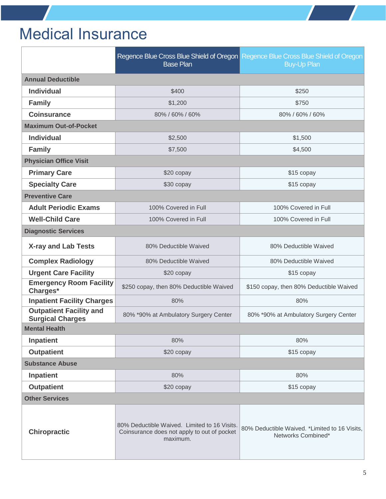# <span id="page-4-0"></span>Medical Insurance

|                                                           | Regence Blue Cross Blue Shield of Oregon Regence Blue Cross Blue Shield of Oregon<br><b>Base Plan</b><br><b>Buy-Up Plan</b> |                                                                     |  |
|-----------------------------------------------------------|-----------------------------------------------------------------------------------------------------------------------------|---------------------------------------------------------------------|--|
| <b>Annual Deductible</b>                                  |                                                                                                                             |                                                                     |  |
| <b>Individual</b>                                         | \$400                                                                                                                       | \$250                                                               |  |
| <b>Family</b>                                             | \$1,200                                                                                                                     | \$750                                                               |  |
| <b>Coinsurance</b>                                        | 80% / 60% / 60%                                                                                                             | 80% / 60% / 60%                                                     |  |
| <b>Maximum Out-of-Pocket</b>                              |                                                                                                                             |                                                                     |  |
| <b>Individual</b>                                         | \$2,500                                                                                                                     | \$1,500                                                             |  |
| <b>Family</b>                                             | \$7,500                                                                                                                     | \$4,500                                                             |  |
| <b>Physician Office Visit</b>                             |                                                                                                                             |                                                                     |  |
| <b>Primary Care</b>                                       | \$20 copay                                                                                                                  | \$15 copay                                                          |  |
| <b>Specialty Care</b>                                     | \$30 copay                                                                                                                  | \$15 copay                                                          |  |
| <b>Preventive Care</b>                                    |                                                                                                                             |                                                                     |  |
| <b>Adult Periodic Exams</b>                               | 100% Covered in Full                                                                                                        | 100% Covered in Full                                                |  |
| <b>Well-Child Care</b>                                    | 100% Covered in Full<br>100% Covered in Full                                                                                |                                                                     |  |
| <b>Diagnostic Services</b>                                |                                                                                                                             |                                                                     |  |
| <b>X-ray and Lab Tests</b>                                | 80% Deductible Waived                                                                                                       | 80% Deductible Waived                                               |  |
| <b>Complex Radiology</b>                                  | 80% Deductible Waived                                                                                                       | 80% Deductible Waived                                               |  |
| <b>Urgent Care Facility</b>                               | \$20 copay                                                                                                                  | \$15 copay                                                          |  |
| <b>Emergency Room Facility</b><br>Charges*                | \$250 copay, then 80% Deductible Waived                                                                                     | \$150 copay, then 80% Deductible Waived                             |  |
| <b>Inpatient Facility Charges</b>                         | 80%                                                                                                                         | 80%                                                                 |  |
| <b>Outpatient Facility and</b><br><b>Surgical Charges</b> | 80% *90% at Ambulatory Surgery Center                                                                                       | 80% *90% at Ambulatory Surgery Center                               |  |
| <b>Mental Health</b>                                      |                                                                                                                             |                                                                     |  |
| <b>Inpatient</b>                                          | 80%                                                                                                                         | 80%                                                                 |  |
| <b>Outpatient</b>                                         | \$20 copay                                                                                                                  | \$15 copay                                                          |  |
| <b>Substance Abuse</b>                                    |                                                                                                                             |                                                                     |  |
| Inpatient                                                 | 80%                                                                                                                         | 80%                                                                 |  |
| <b>Outpatient</b>                                         | \$20 copay                                                                                                                  | \$15 copay                                                          |  |
| <b>Other Services</b>                                     |                                                                                                                             |                                                                     |  |
| <b>Chiropractic</b>                                       | 80% Deductible Waived. Limited to 16 Visits.<br>Coinsurance does not apply to out of pocket<br>maximum.                     | 80% Deductible Waived. *Limited to 16 Visits,<br>Networks Combined* |  |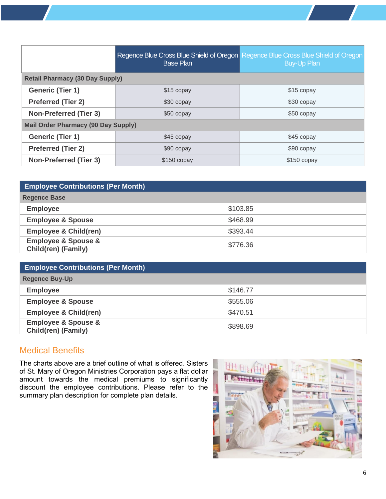|                                            | <b>Base Plan</b> | Regence Blue Cross Blue Shield of Oregon Regence Blue Cross Blue Shield of Oregon<br><b>Buy-Up Plan</b> |  |
|--------------------------------------------|------------------|---------------------------------------------------------------------------------------------------------|--|
| <b>Retail Pharmacy (30 Day Supply)</b>     |                  |                                                                                                         |  |
| <b>Generic (Tier 1)</b>                    | \$15 copay       | \$15 copay                                                                                              |  |
| <b>Preferred (Tier 2)</b>                  | \$30 copay       | \$30 copay                                                                                              |  |
| <b>Non-Preferred (Tier 3)</b>              | \$50 copay       | \$50 copay                                                                                              |  |
| <b>Mail Order Pharmacy (90 Day Supply)</b> |                  |                                                                                                         |  |
| <b>Generic (Tier 1)</b>                    | \$45 copay       | \$45 copay                                                                                              |  |
| <b>Preferred (Tier 2)</b>                  | \$90 copay       | \$90 copay                                                                                              |  |
| <b>Non-Preferred (Tier 3)</b>              | \$150 copay      | \$150 copay                                                                                             |  |

| <b>Employee Contributions (Per Month)</b>                        |          |  |
|------------------------------------------------------------------|----------|--|
| <b>Regence Base</b>                                              |          |  |
| <b>Employee</b>                                                  | \$103.85 |  |
| <b>Employee &amp; Spouse</b>                                     | \$468.99 |  |
| <b>Employee &amp; Child(ren)</b>                                 | \$393.44 |  |
| <b>Employee &amp; Spouse &amp;</b><br><b>Child(ren) (Family)</b> | \$776.36 |  |

| <b>Employee Contributions (Per Month)</b>                        |          |  |
|------------------------------------------------------------------|----------|--|
| <b>Regence Buy-Up</b>                                            |          |  |
| <b>Employee</b>                                                  | \$146.77 |  |
| <b>Employee &amp; Spouse</b>                                     | \$555.06 |  |
| <b>Employee &amp; Child(ren)</b>                                 | \$470.51 |  |
| <b>Employee &amp; Spouse &amp;</b><br><b>Child(ren) (Family)</b> | \$898.69 |  |

#### Medical Benefits

The charts above are a brief outline of what is offered. Sisters of St. Mary of Oregon Ministries Corporation pays a flat dollar amount towards the medical premiums to significantly discount the employee contributions. Please refer to the summary plan description for complete plan details.

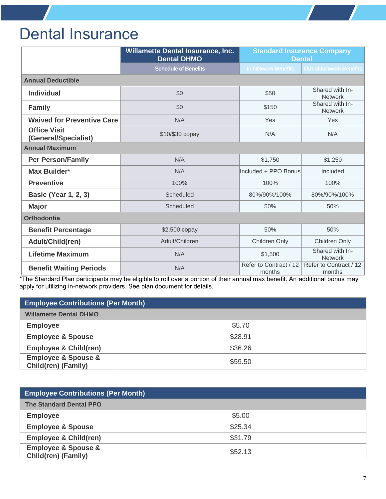### <span id="page-6-0"></span>Dental Insurance

|                                             | <b>Willamette Dental Insurance, Inc.</b><br><b>Dental DHMO</b> | <b>Standard Insurance Company</b><br><b>Dental</b> |                                   |
|---------------------------------------------|----------------------------------------------------------------|----------------------------------------------------|-----------------------------------|
|                                             | <b>Schedule of Benefits</b>                                    | <b>In-Network Benefits</b>                         | <b>Out-of-Network Benefits</b>    |
| <b>Annual Deductible</b>                    |                                                                |                                                    |                                   |
| <b>Individual</b>                           | \$0                                                            | \$50                                               | Shared with In-<br><b>Network</b> |
| <b>Family</b>                               | \$0<br>\$150                                                   |                                                    | Shared with In-<br><b>Network</b> |
| <b>Waived for Preventive Care</b>           | N/A<br>Yes                                                     |                                                    | Yes                               |
| <b>Office Visit</b><br>(General/Specialist) | \$10/\$30 copay                                                |                                                    | N/A                               |
| <b>Annual Maximum</b>                       |                                                                |                                                    |                                   |
| <b>Per Person/Family</b>                    | N/A                                                            | \$1,750                                            | \$1,250                           |
| <b>Max Builder*</b>                         | N/A                                                            | Included + PPO Bonus                               | Included                          |
| <b>Preventive</b>                           | 100%                                                           | 100%                                               | 100%                              |
| <b>Basic (Year 1, 2, 3)</b>                 | Scheduled                                                      | 80%/90%/100%                                       | 80%/90%/100%                      |
| <b>Major</b>                                | Scheduled                                                      | 50%                                                | 50%                               |
| <b>Orthodontia</b>                          |                                                                |                                                    |                                   |
| <b>Benefit Percentage</b>                   | \$2,500 copay                                                  | 50%                                                | 50%                               |
| Adult/Child(ren)                            | Adult/Children                                                 | Children Only                                      | Children Only                     |
| <b>Lifetime Maximum</b>                     | N/A                                                            | \$1,500                                            | Shared with In-<br><b>Network</b> |
| <b>Benefit Waiting Periods</b>              | N/A                                                            | Refer to Contract / 12<br>months                   | Refer to Contract / 12<br>months  |

\*The Standard Plan participants may be eligible to roll over a portion of their annual max benefit. An additional bonus may apply for utilizing in-network providers. See plan document for details.

| <b>Employee Contributions (Per Month)</b>                        |         |  |
|------------------------------------------------------------------|---------|--|
| <b>Willamette Dental DHMO</b>                                    |         |  |
| <b>Employee</b>                                                  | \$5.70  |  |
| <b>Employee &amp; Spouse</b>                                     | \$28.91 |  |
| <b>Employee &amp; Child(ren)</b>                                 | \$36.26 |  |
| <b>Employee &amp; Spouse &amp;</b><br><b>Child(ren) (Family)</b> | \$59.50 |  |

| <b>Employee Contributions (Per Month)</b>                        |         |  |
|------------------------------------------------------------------|---------|--|
| <b>The Standard Dental PPO</b>                                   |         |  |
| <b>Employee</b>                                                  | \$5.00  |  |
| <b>Employee &amp; Spouse</b>                                     | \$25.34 |  |
| <b>Employee &amp; Child(ren)</b>                                 | \$31.79 |  |
| <b>Employee &amp; Spouse &amp;</b><br><b>Child(ren) (Family)</b> | \$52.13 |  |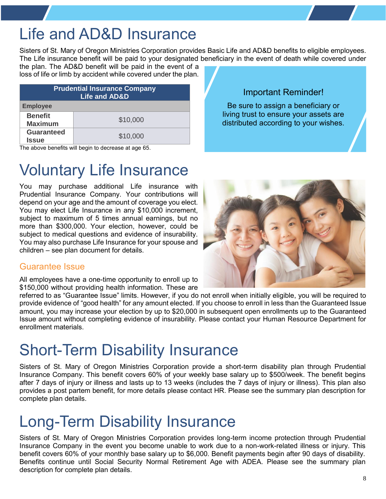## Life and AD&D Insurance

Sisters of St. Mary of Oregon Ministries Corporation provides Basic Life and AD&D benefits to eligible employees. The Life insurance benefit will be paid to your designated beneficiary in the event of death while covered under

the plan. The AD&D benefit will be paid in the event of a loss of life or limb by accident while covered under the plan.

| <b>Prudential Insurance Company</b><br><b>Life and AD&amp;D</b> |          |  |
|-----------------------------------------------------------------|----------|--|
| <b>Employee</b>                                                 |          |  |
| <b>Benefit</b><br><b>Maximum</b>                                | \$10,000 |  |
| <b>Guaranteed</b><br><b>Issue</b>                               | \$10,000 |  |

The above benefits will begin to decrease at age 65.

# Voluntary Life Insurance

You may purchase additional Life insurance with Prudential Insurance Company. Your contributions will depend on your age and the amount of coverage you elect. You may elect Life Insurance in any \$10,000 increment, subject to maximum of 5 times annual earnings, but no more than \$300,000. Your election, however, could be subject to medical questions and evidence of insurability. You may also purchase Life Insurance for your spouse and children – see plan document for details.

### Guarantee Issue

All employees have a one-time opportunity to enroll up to \$150,000 without providing health information. These are

referred to as "Guarantee Issue" limits. However, if you do not enroll when initially eligible, you will be required to provide evidence of "good health" for any amount elected. If you choose to enroll in less than the Guaranteed Issue amount, you may increase your election by up to \$20,000 in subsequent open enrollments up to the Guaranteed Issue amount without completing evidence of insurability. Please contact your Human Resource Department for enrollment materials.

### Short-Term Disability Insurance

Sisters of St. Mary of Oregon Ministries Corporation provide a short-term disability plan through Prudential Insurance Company. This benefit covers 60% of your weekly base salary up to \$500/week. The benefit begins after 7 days of injury or illness and lasts up to 13 weeks (includes the 7 days of injury or illness). This plan also provides a post partem benefit, for more details please contact HR. Please see the summary plan description for complete plan details.

### Long-Term Disability Insurance

<span id="page-7-0"></span>Sisters of St. Mary of Oregon Ministries Corporation provides long-term income protection through Prudential Insurance Company in the event you become unable to work due to a non-work-related illness or injury. This benefit covers 60% of your monthly base salary up to \$6,000. Benefit payments begin after 90 days of disability. Benefits continue until Social Security Normal Retirement Age with ADEA. Please see the summary plan description for complete plan details.



Important Reminder!

Be sure to assign a beneficiary or living trust to ensure your assets are distributed according to your wishes.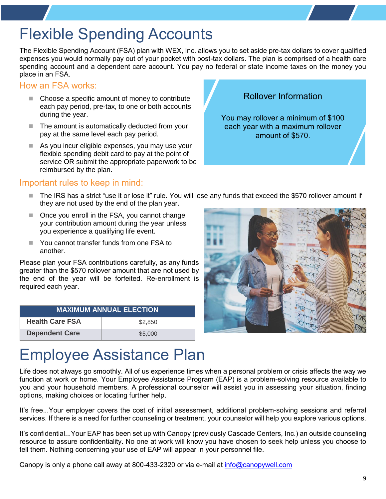# Flexible Spending Accounts

The Flexible Spending Account (FSA) plan with WEX, Inc. allows you to set aside pre-tax dollars to cover qualified expenses you would normally pay out of your pocket with post-tax dollars. The plan is comprised of a health care spending account and a dependent care account. You pay no federal or state income taxes on the money you place in an FSA.

#### How an FSA works:

- Choose a specific amount of money to contribute each pay period, pre-tax, to one or both accounts during the year.
- The amount is automatically deducted from your pay at the same level each pay period.
- As you incur eligible expenses, you may use your flexible spending debit card to pay at the point of service OR submit the appropriate paperwork to be reimbursed by the plan.

#### Important rules to keep in mind:

- The IRS has a strict "use it or lose it" rule. You will lose any funds that exceed the \$570 rollover amount if they are not used by the end of the plan year.
- Once you enroll in the FSA, you cannot change your contribution amount during the year unless you experience a qualifying life event.
- You cannot transfer funds from one FSA to another.

Please plan your FSA contributions carefully, as any funds greater than the \$570 rollover amount that are not used by the end of the year will be forfeited. Re-enrollment is required each year.

<span id="page-8-0"></span>

| <b>MAXIMUM ANNUAL ELECTION</b> |         |  |
|--------------------------------|---------|--|
| <b>Health Care FSA</b>         | \$2,850 |  |
| <b>Dependent Care</b>          | \$5,000 |  |

# Employee Assistance Plan

Life does not always go smoothly. All of us experience times when a personal problem or crisis affects the way we function at work or home. Your Employee Assistance Program (EAP) is a problem-solving resource available to you and your household members. A professional counselor will assist you in assessing your situation, finding options, making choices or locating further help.

It's free...Your employer covers the cost of initial assessment, additional problem-solving sessions and referral services. If there is a need for further counseling or treatment, your counselor will help you explore various options.

It's confidential...Your EAP has been set up with Canopy (previously Cascade Centers, Inc.) an outside counseling resource to assure confidentiality. No one at work will know you have chosen to seek help unless you choose to tell them. Nothing concerning your use of EAP will appear in your personnel file.

<span id="page-8-1"></span>Canopy is only a phone call away at 800-433-2320 or via e-mail at [info@canopywell.com](mailto:info@canopywell.com)